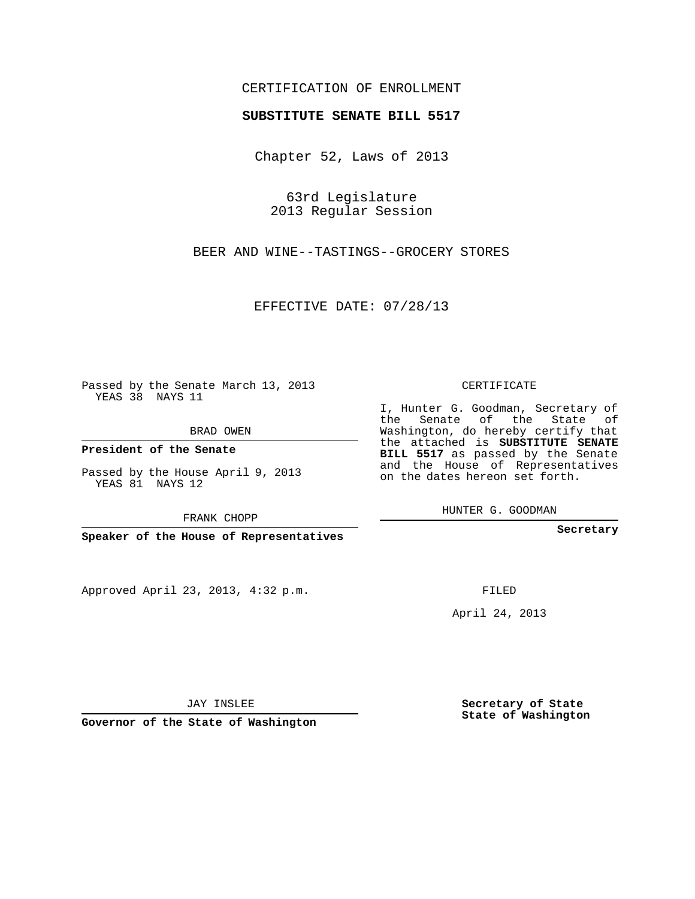## CERTIFICATION OF ENROLLMENT

## **SUBSTITUTE SENATE BILL 5517**

Chapter 52, Laws of 2013

63rd Legislature 2013 Regular Session

BEER AND WINE--TASTINGS--GROCERY STORES

EFFECTIVE DATE: 07/28/13

Passed by the Senate March 13, 2013 YEAS 38 NAYS 11

BRAD OWEN

**President of the Senate**

Passed by the House April 9, 2013 YEAS 81 NAYS 12

FRANK CHOPP

**Speaker of the House of Representatives**

Approved April 23, 2013, 4:32 p.m.

CERTIFICATE

I, Hunter G. Goodman, Secretary of the Senate of the State of Washington, do hereby certify that the attached is **SUBSTITUTE SENATE BILL 5517** as passed by the Senate and the House of Representatives on the dates hereon set forth.

HUNTER G. GOODMAN

**Secretary**

FILED

April 24, 2013

JAY INSLEE

**Governor of the State of Washington**

**Secretary of State State of Washington**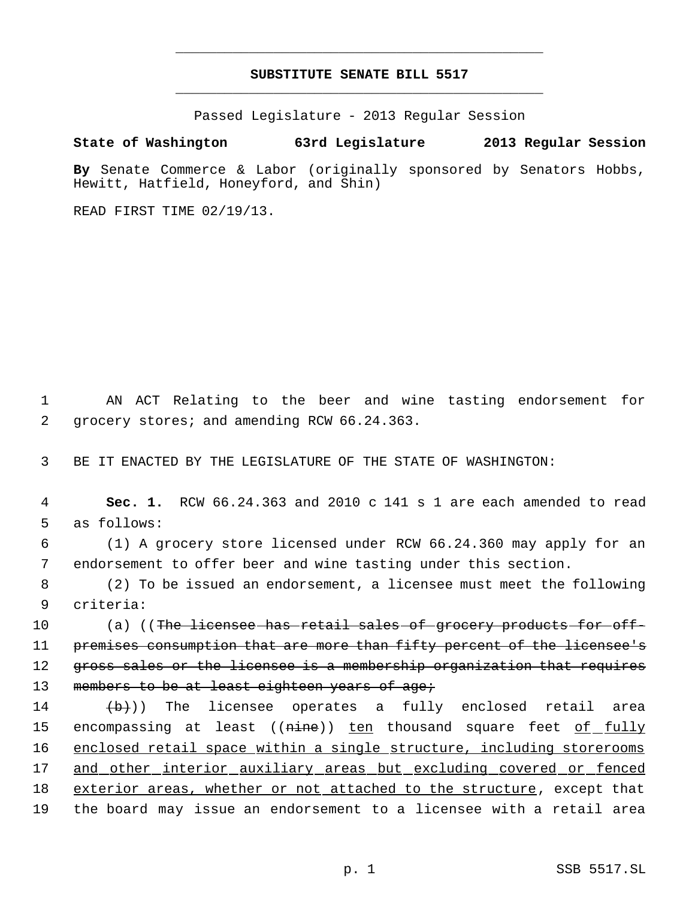## **SUBSTITUTE SENATE BILL 5517** \_\_\_\_\_\_\_\_\_\_\_\_\_\_\_\_\_\_\_\_\_\_\_\_\_\_\_\_\_\_\_\_\_\_\_\_\_\_\_\_\_\_\_\_\_

\_\_\_\_\_\_\_\_\_\_\_\_\_\_\_\_\_\_\_\_\_\_\_\_\_\_\_\_\_\_\_\_\_\_\_\_\_\_\_\_\_\_\_\_\_

Passed Legislature - 2013 Regular Session

## **State of Washington 63rd Legislature 2013 Regular Session**

**By** Senate Commerce & Labor (originally sponsored by Senators Hobbs, Hewitt, Hatfield, Honeyford, and Shin)

READ FIRST TIME 02/19/13.

 1 AN ACT Relating to the beer and wine tasting endorsement for 2 grocery stores; and amending RCW 66.24.363.

3 BE IT ENACTED BY THE LEGISLATURE OF THE STATE OF WASHINGTON:

 4 **Sec. 1.** RCW 66.24.363 and 2010 c 141 s 1 are each amended to read 5 as follows:

 6 (1) A grocery store licensed under RCW 66.24.360 may apply for an 7 endorsement to offer beer and wine tasting under this section.

 8 (2) To be issued an endorsement, a licensee must meet the following 9 criteria:

10 (a) ((The licensee has retail sales of grocery products for off-11 premises consumption that are more than fifty percent of the licensee's 12 gross sales or the licensee is a membership organization that requires 13 members to be at least eighteen years of age;

 $(\overline{b})$ ) The licensee operates a fully enclosed retail area 15 encompassing at least ((<del>nine</del>)) <u>ten</u> thousand square feet <u>of fully</u> enclosed retail space within a single structure, including storerooms and other interior auxiliary areas but excluding covered or fenced 18 exterior areas, whether or not attached to the structure, except that the board may issue an endorsement to a licensee with a retail area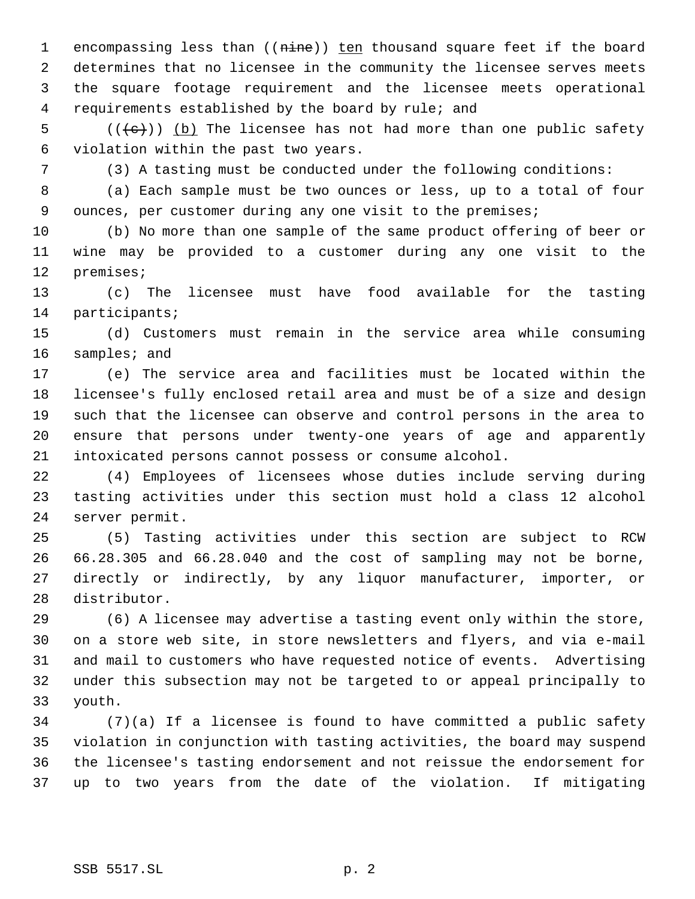1 encompassing less than ((nine)) ten thousand square feet if the board determines that no licensee in the community the licensee serves meets the square footage requirement and the licensee meets operational requirements established by the board by rule; and

 $((\{e\})$  (b) The licensee has not had more than one public safety violation within the past two years.

(3) A tasting must be conducted under the following conditions:

 (a) Each sample must be two ounces or less, up to a total of four ounces, per customer during any one visit to the premises;

 (b) No more than one sample of the same product offering of beer or wine may be provided to a customer during any one visit to the premises;

 (c) The licensee must have food available for the tasting participants;

 (d) Customers must remain in the service area while consuming samples; and

 (e) The service area and facilities must be located within the licensee's fully enclosed retail area and must be of a size and design such that the licensee can observe and control persons in the area to ensure that persons under twenty-one years of age and apparently intoxicated persons cannot possess or consume alcohol.

 (4) Employees of licensees whose duties include serving during tasting activities under this section must hold a class 12 alcohol server permit.

 (5) Tasting activities under this section are subject to RCW 66.28.305 and 66.28.040 and the cost of sampling may not be borne, directly or indirectly, by any liquor manufacturer, importer, or distributor.

 (6) A licensee may advertise a tasting event only within the store, on a store web site, in store newsletters and flyers, and via e-mail and mail to customers who have requested notice of events. Advertising under this subsection may not be targeted to or appeal principally to youth.

 (7)(a) If a licensee is found to have committed a public safety violation in conjunction with tasting activities, the board may suspend the licensee's tasting endorsement and not reissue the endorsement for up to two years from the date of the violation. If mitigating